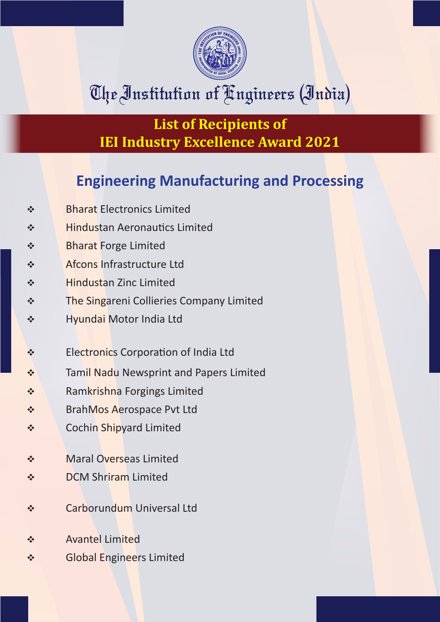

# The Institution of Engineers (India)

**List of Recipients of IEI Industry Excellence Award 2021**

#### **Engineering Manufacturing and Processing**

- v Bharat Electronics Limited
- **\*** Hindustan Aeronautics Limited
- v Bharat Forge Limited
- v Afcons Infrastructure Ltd
- v Hindustan Zinc Limited
- **\*** The Singareni Collieries Company Limited
- \* Hyundai Motor India Ltd
- **Electronics Corporation of India Ltd**
- **\*** Tamil Nadu Newsprint and Papers Limited
- ◆ Ramkrishna Forgings Limited
- ◆ BrahMos Aerospace Pvt Ltd
- **v** Cochin Shipyard Limited
- **v** Maral Overseas Limited
- ◆ DCM Shriram Limited
- v Carborundum Universal Ltd
- v Avantel Limited
- v Global Engineers Limited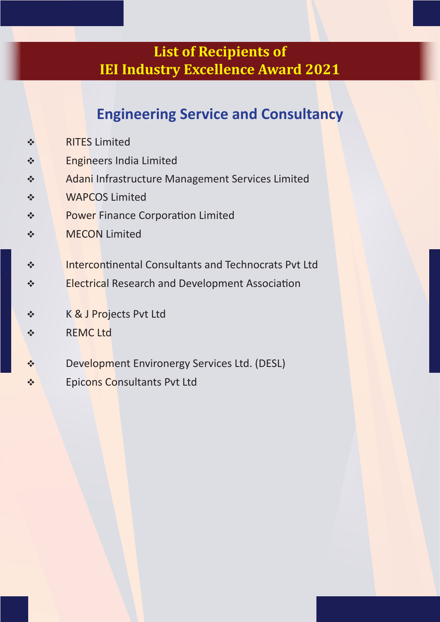#### **List of Recipients of IEI Industry Excellence Award 2021**

### **Engineering Service and Consultancy**

- v RITES Limited
- v Engineers India Limited
- v Adani Infrastructure Management Services Limited
- v WAPCOS Limited
- ◆ Power Finance Corporation Limited
- v MECON Limited
- ◆ Intercontinental Consultants and Technocrats Pvt Ltd
- \* Electrical Research and Development Association
- v K & J Projects Pvt Ltd
- v REMC Ltd
- ◆ Development Environergy Services Ltd. (DESL)
- v Epicons Consultants Pvt Ltd